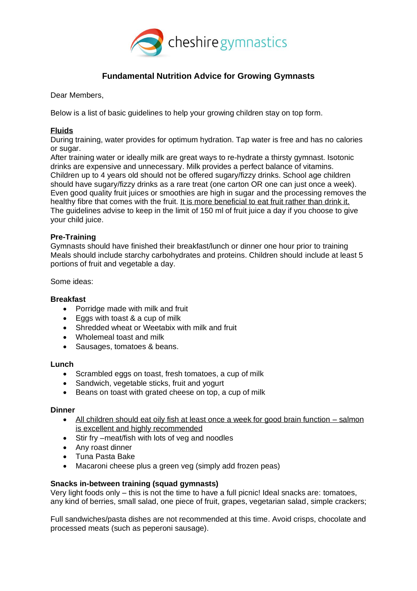

# **Fundamental Nutrition Advice for Growing Gymnasts**

Dear Members,

Below is a list of basic guidelines to help your growing children stay on top form.

# **Fluids**

During training, water provides for optimum hydration. Tap water is free and has no calories or sugar.

After training water or ideally milk are great ways to re-hydrate a thirsty gymnast. Isotonic drinks are expensive and unnecessary. Milk provides a perfect balance of vitamins. Children up to 4 years old should not be offered sugary/fizzy drinks. School age children should have sugary/fizzy drinks as a rare treat (one carton OR one can just once a week). Even good quality fruit juices or smoothies are high in sugar and the processing removes the healthy fibre that comes with the fruit. It is more beneficial to eat fruit rather than drink it. The guidelines advise to keep in the limit of 150 ml of fruit juice a day if you choose to give your child juice.

# **Pre-Training**

Gymnasts should have finished their breakfast/lunch or dinner one hour prior to training Meals should include starchy carbohydrates and proteins. Children should include at least 5 portions of fruit and vegetable a day.

Some ideas:

## **Breakfast**

- Porridge made with milk and fruit
- Eggs with toast & a cup of milk
- Shredded wheat or Weetabix with milk and fruit
- Wholemeal toast and milk
- Sausages, tomatoes & beans.

#### **Lunch**

- Scrambled eggs on toast, fresh tomatoes, a cup of milk
- Sandwich, vegetable sticks, fruit and yogurt
- Beans on toast with grated cheese on top, a cup of milk

#### **Dinner**

- All children should eat oily fish at least once a week for good brain function salmon is excellent and highly recommended
- Stir fry –meat/fish with lots of veg and noodles
- Any roast dinner
- Tuna Pasta Bake
- Macaroni cheese plus a green veg (simply add frozen peas)

## **Snacks in-between training (squad gymnasts)**

Very light foods only – this is not the time to have a full picnic! Ideal snacks are: tomatoes, any kind of berries, small salad, one piece of fruit, grapes, vegetarian salad, simple crackers;

Full sandwiches/pasta dishes are not recommended at this time. Avoid crisps, chocolate and processed meats (such as peperoni sausage).